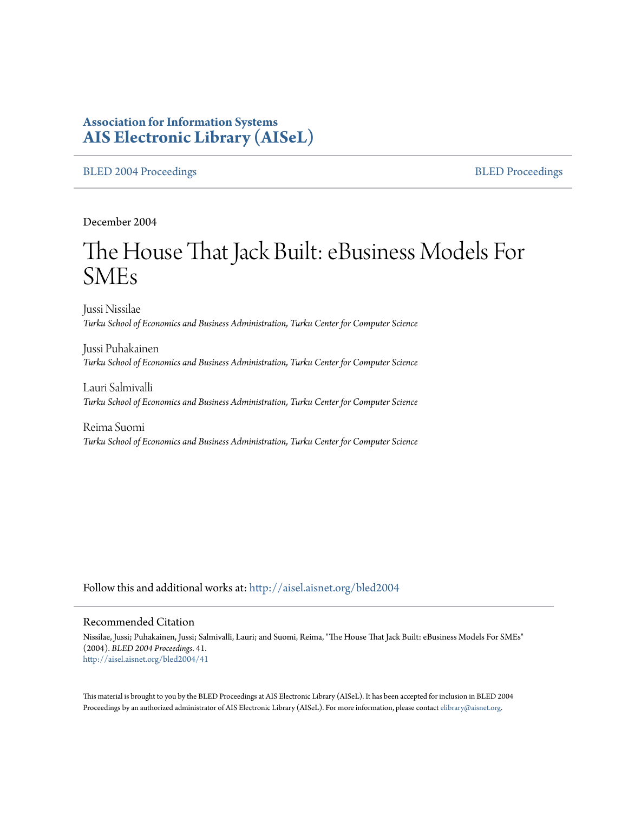# **Association for Information Systems [AIS Electronic Library \(AISeL\)](http://aisel.aisnet.org?utm_source=aisel.aisnet.org%2Fbled2004%2F41&utm_medium=PDF&utm_campaign=PDFCoverPages)**

#### [BLED 2004 Proceedings](http://aisel.aisnet.org/bled2004?utm_source=aisel.aisnet.org%2Fbled2004%2F41&utm_medium=PDF&utm_campaign=PDFCoverPages) and the state of the state of the [BLED Proceedings](http://aisel.aisnet.org/bled?utm_source=aisel.aisnet.org%2Fbled2004%2F41&utm_medium=PDF&utm_campaign=PDFCoverPages) and the BLED Proceedings and the BLED Proceedings and the BLED Proceedings and the BLED Proceedings and the BLED Proceedings and the BLED Proceedings

December 2004

# The House That Jack Built: eBusiness Models For SMEs

Jussi Nissilae *Turku School of Economics and Business Administration, Turku Center for Computer Science*

Jussi Puhakainen *Turku School of Economics and Business Administration, Turku Center for Computer Science*

Lauri Salmivalli *Turku School of Economics and Business Administration, Turku Center for Computer Science*

Reima Suomi *Turku School of Economics and Business Administration, Turku Center for Computer Science*

Follow this and additional works at: [http://aisel.aisnet.org/bled2004](http://aisel.aisnet.org/bled2004?utm_source=aisel.aisnet.org%2Fbled2004%2F41&utm_medium=PDF&utm_campaign=PDFCoverPages)

#### Recommended Citation

Nissilae, Jussi; Puhakainen, Jussi; Salmivalli, Lauri; and Suomi, Reima, "The House That Jack Built: eBusiness Models For SMEs" (2004). *BLED 2004 Proceedings*. 41. [http://aisel.aisnet.org/bled2004/41](http://aisel.aisnet.org/bled2004/41?utm_source=aisel.aisnet.org%2Fbled2004%2F41&utm_medium=PDF&utm_campaign=PDFCoverPages)

This material is brought to you by the BLED Proceedings at AIS Electronic Library (AISeL). It has been accepted for inclusion in BLED 2004 Proceedings by an authorized administrator of AIS Electronic Library (AISeL). For more information, please contact [elibrary@aisnet.org](mailto:elibrary@aisnet.org%3E).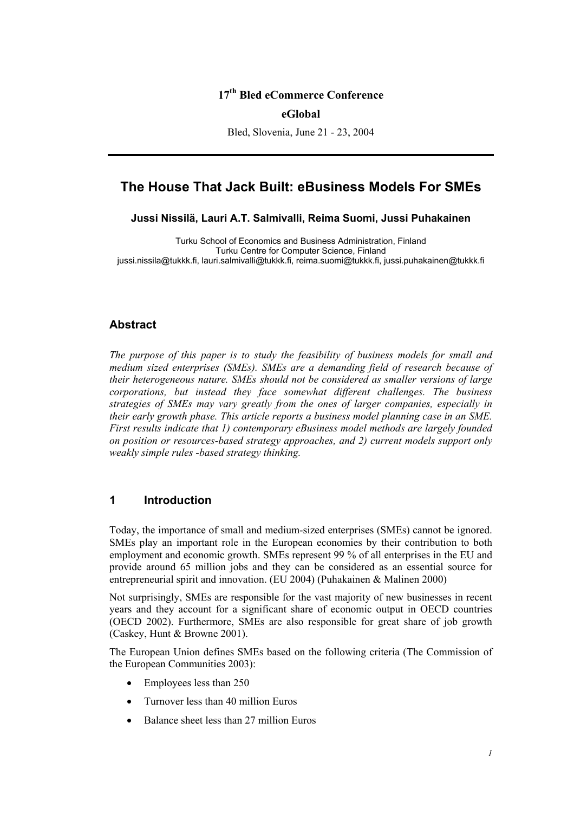## **17th Bled eCommerce Conference**

#### **eGlobal**

Bled, Slovenia, June 21 - 23, 2004

# **The House That Jack Built: eBusiness Models For SMEs**

**Jussi Nissilä, Lauri A.T. Salmivalli, Reima Suomi, Jussi Puhakainen** 

Turku School of Economics and Business Administration, Finland Turku Centre for Computer Science, Finland jussi.nissila@tukkk.fi, lauri.salmivalli@tukkk.fi, reima.suomi@tukkk.fi, jussi.puhakainen@tukkk.fi

#### **Abstract**

*The purpose of this paper is to study the feasibility of business models for small and medium sized enterprises (SMEs). SMEs are a demanding field of research because of their heterogeneous nature. SMEs should not be considered as smaller versions of large corporations, but instead they face somewhat different challenges. The business strategies of SMEs may vary greatly from the ones of larger companies, especially in their early growth phase. This article reports a business model planning case in an SME. First results indicate that 1) contemporary eBusiness model methods are largely founded on position or resources-based strategy approaches, and 2) current models support only weakly simple rules -based strategy thinking.* 

## **1 Introduction**

Today, the importance of small and medium-sized enterprises (SMEs) cannot be ignored. SMEs play an important role in the European economies by their contribution to both employment and economic growth. SMEs represent 99 % of all enterprises in the EU and provide around 65 million jobs and they can be considered as an essential source for entrepreneurial spirit and innovation. (EU 2004) (Puhakainen & Malinen 2000)

Not surprisingly, SMEs are responsible for the vast majority of new businesses in recent years and they account for a significant share of economic output in OECD countries (OECD 2002). Furthermore, SMEs are also responsible for great share of job growth (Caskey, Hunt & Browne 2001).

The European Union defines SMEs based on the following criteria (The Commission of the European Communities 2003):

- Employees less than 250
- Turnover less than 40 million Euros
- Balance sheet less than 27 million Euros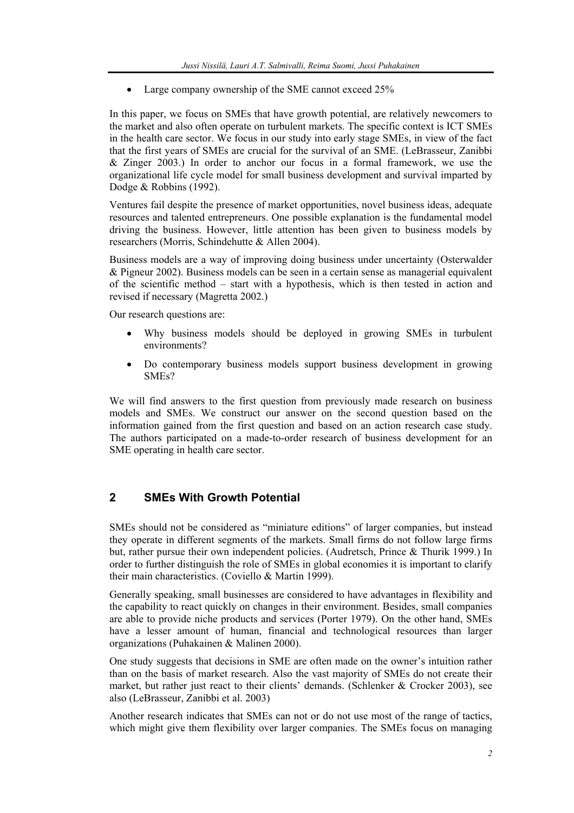Large company ownership of the SME cannot exceed 25%

In this paper, we focus on SMEs that have growth potential, are relatively newcomers to the market and also often operate on turbulent markets. The specific context is ICT SMEs in the health care sector. We focus in our study into early stage SMEs, in view of the fact that the first years of SMEs are crucial for the survival of an SME. (LeBrasseur, Zanibbi & Zinger 2003.) In order to anchor our focus in a formal framework, we use the organizational life cycle model for small business development and survival imparted by Dodge & Robbins (1992).

Ventures fail despite the presence of market opportunities, novel business ideas, adequate resources and talented entrepreneurs. One possible explanation is the fundamental model driving the business. However, little attention has been given to business models by researchers (Morris, Schindehutte & Allen 2004).

Business models are a way of improving doing business under uncertainty (Osterwalder & Pigneur 2002). Business models can be seen in a certain sense as managerial equivalent of the scientific method – start with a hypothesis, which is then tested in action and revised if necessary (Magretta 2002.)

Our research questions are:

- Why business models should be deployed in growing SMEs in turbulent environments?
- Do contemporary business models support business development in growing SMEs?

We will find answers to the first question from previously made research on business models and SMEs. We construct our answer on the second question based on the information gained from the first question and based on an action research case study. The authors participated on a made-to-order research of business development for an SME operating in health care sector.

# **2 SMEs With Growth Potential**

SMEs should not be considered as "miniature editions" of larger companies, but instead they operate in different segments of the markets. Small firms do not follow large firms but, rather pursue their own independent policies. (Audretsch, Prince & Thurik 1999.) In order to further distinguish the role of SMEs in global economies it is important to clarify their main characteristics. (Coviello & Martin 1999).

Generally speaking, small businesses are considered to have advantages in flexibility and the capability to react quickly on changes in their environment. Besides, small companies are able to provide niche products and services (Porter 1979). On the other hand, SMEs have a lesser amount of human, financial and technological resources than larger organizations (Puhakainen & Malinen 2000).

One study suggests that decisions in SME are often made on the owner's intuition rather than on the basis of market research. Also the vast majority of SMEs do not create their market, but rather just react to their clients' demands. (Schlenker  $& Crocker 2003$ ), see also (LeBrasseur, Zanibbi et al. 2003)

Another research indicates that SMEs can not or do not use most of the range of tactics, which might give them flexibility over larger companies. The SMEs focus on managing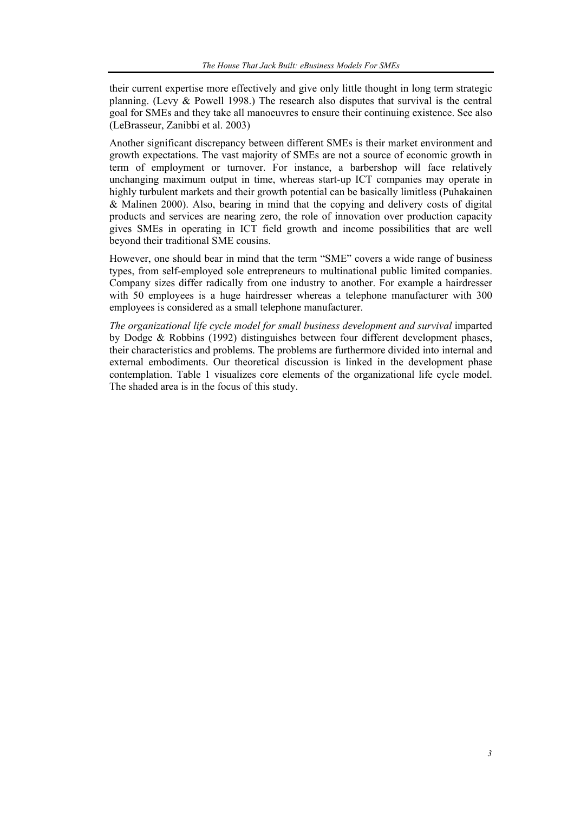their current expertise more effectively and give only little thought in long term strategic planning. (Levy & Powell 1998.) The research also disputes that survival is the central goal for SMEs and they take all manoeuvres to ensure their continuing existence. See also (LeBrasseur, Zanibbi et al. 2003)

Another significant discrepancy between different SMEs is their market environment and growth expectations. The vast majority of SMEs are not a source of economic growth in term of employment or turnover. For instance, a barbershop will face relatively unchanging maximum output in time, whereas start-up ICT companies may operate in highly turbulent markets and their growth potential can be basically limitless (Puhakainen & Malinen 2000). Also, bearing in mind that the copying and delivery costs of digital products and services are nearing zero, the role of innovation over production capacity gives SMEs in operating in ICT field growth and income possibilities that are well beyond their traditional SME cousins.

However, one should bear in mind that the term "SME" covers a wide range of business types, from self-employed sole entrepreneurs to multinational public limited companies. Company sizes differ radically from one industry to another. For example a hairdresser with 50 employees is a huge hairdresser whereas a telephone manufacturer with 300 employees is considered as a small telephone manufacturer.

*The organizational life cycle model for small business development and survival* imparted by Dodge & Robbins (1992) distinguishes between four different development phases, their characteristics and problems. The problems are furthermore divided into internal and external embodiments. Our theoretical discussion is linked in the development phase contemplation. Table 1 visualizes core elements of the organizational life cycle model. The shaded area is in the focus of this study.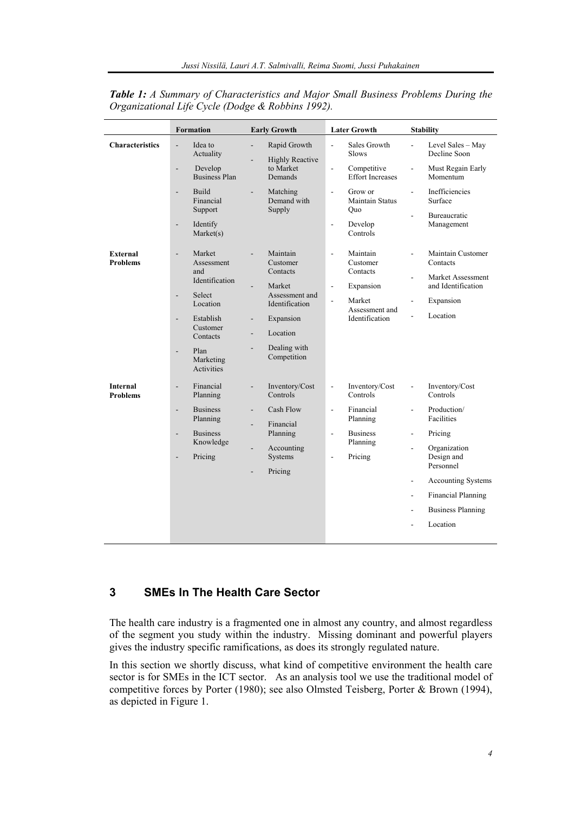|                                    | <b>Formation</b>                                          | <b>Early Growth</b>                                                                                  | <b>Later Growth</b>                                                      | <b>Stability</b>                                                                       |
|------------------------------------|-----------------------------------------------------------|------------------------------------------------------------------------------------------------------|--------------------------------------------------------------------------|----------------------------------------------------------------------------------------|
| <b>Characteristics</b>             | Idea to<br>$\overline{a}$<br>Actuality                    | Rapid Growth<br>$\overline{\phantom{a}}$<br><b>Highly Reactive</b>                                   | Sales Growth<br>$\overline{\phantom{a}}$<br>Slows                        | Level Sales - May<br>$\overline{a}$<br>Decline Soon                                    |
|                                    | Develop<br>$\overline{a}$<br><b>Business Plan</b>         | to Market<br>Demands                                                                                 | Competitive<br>$\overline{\phantom{a}}$<br><b>Effort Increases</b>       | Must Regain Early<br>$\overline{a}$<br>Momentum                                        |
|                                    | <b>Build</b><br>$\overline{a}$<br>Financial<br>Support    | Matching<br>÷,<br>Demand with<br>Supply                                                              | Grow or<br>$\overline{\phantom{a}}$<br>Maintain Status<br>Quo            | Inefficiencies<br>$\overline{a}$<br>Surface                                            |
|                                    | Identify<br>$\qquad \qquad \blacksquare$<br>Market(s)     |                                                                                                      | Develop<br>$\overline{\phantom{a}}$<br>Controls                          | Bureaucratic<br>$\overline{a}$<br>Management                                           |
| External<br><b>Problems</b>        | Market<br>$\overline{a}$<br>Assessment<br>and             | Maintain<br>Customer<br>Contacts                                                                     | Maintain<br>$\blacksquare$<br>Customer<br>Contacts                       | Maintain Customer<br>$\overline{a}$<br>Contacts<br>Market Assessment<br>$\overline{a}$ |
|                                    | Identification<br>Select<br>$\overline{a}$                | Market<br>٠<br>Assessment and                                                                        | Expansion<br>$\blacksquare$                                              | and Identification                                                                     |
|                                    | Location                                                  | Identification                                                                                       | Market<br>÷,<br>Assessment and<br>Identification                         | Expansion<br>$\overline{\phantom{0}}$                                                  |
|                                    | Establish<br>$\overline{a}$<br>Customer<br>Contacts       | Expansion<br>$\overline{\phantom{0}}$<br>Location<br>$\overline{\phantom{a}}$                        |                                                                          | Location<br>÷.                                                                         |
|                                    | Plan<br>Marketing<br>Activities                           | Dealing with<br>Competition                                                                          |                                                                          |                                                                                        |
| <b>Internal</b><br><b>Problems</b> | Financial<br>$\overline{a}$<br>Planning                   | Inventory/Cost<br>$\overline{\phantom{0}}$<br>Controls                                               | Inventory/Cost<br>$\blacksquare$<br>Controls                             | Inventory/Cost<br>$\overline{\phantom{a}}$<br>Controls                                 |
|                                    | <b>Business</b><br>$\frac{1}{2}$<br>Planning              | Cash Flow<br>$\overline{\phantom{0}}$<br>Financial<br>L.                                             | Financial<br>$\blacksquare$<br>Planning                                  | Production/<br>$\overline{\phantom{0}}$<br>Facilities                                  |
|                                    | <b>Business</b><br>$\overline{a}$<br>Knowledge<br>Pricing | Planning<br>Accounting<br>$\overline{\phantom{0}}$<br>Systems<br>Pricing<br>$\overline{\phantom{a}}$ | <b>Business</b><br>$\overline{\phantom{a}}$<br>Planning<br>Pricing<br>÷, | Pricing<br>$\overline{\phantom{0}}$                                                    |
|                                    |                                                           |                                                                                                      |                                                                          | Organization<br>$\overline{\phantom{a}}$<br>Design and<br>Personnel                    |
|                                    |                                                           |                                                                                                      |                                                                          | <b>Accounting Systems</b><br>$\qquad \qquad \blacksquare$                              |
|                                    |                                                           |                                                                                                      |                                                                          | <b>Financial Planning</b><br>$\blacksquare$                                            |
|                                    |                                                           |                                                                                                      |                                                                          | <b>Business Planning</b><br>$\overline{\phantom{0}}$                                   |
|                                    |                                                           |                                                                                                      |                                                                          | Location                                                                               |

*Table 1: A Summary of Characteristics and Major Small Business Problems During the Organizational Life Cycle (Dodge & Robbins 1992).* 

# **3 SMEs In The Health Care Sector**

The health care industry is a fragmented one in almost any country, and almost regardless of the segment you study within the industry. Missing dominant and powerful players gives the industry specific ramifications, as does its strongly regulated nature.

In this section we shortly discuss, what kind of competitive environment the health care sector is for SMEs in the ICT sector. As an analysis tool we use the traditional model of competitive forces by Porter (1980); see also Olmsted Teisberg, Porter & Brown (1994), as depicted in Figure 1.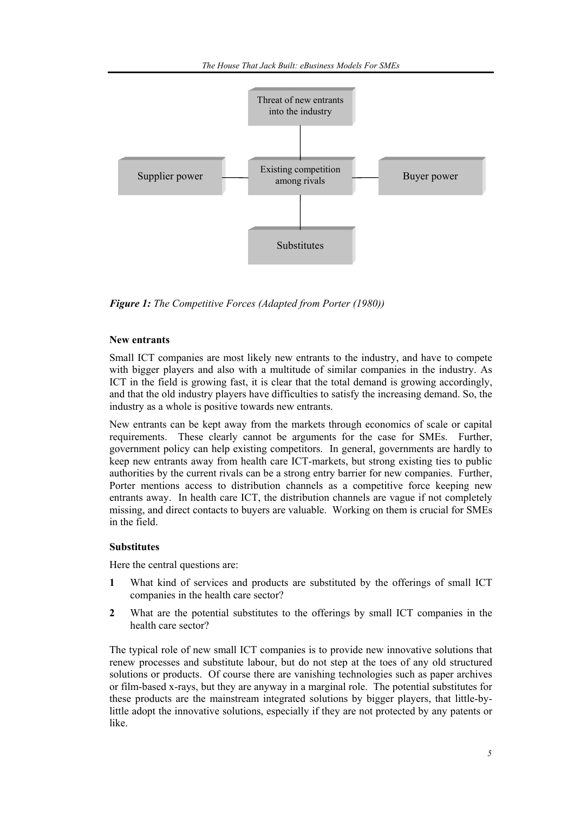

*Figure 1: The Competitive Forces (Adapted from Porter (1980))* 

#### **New entrants**

Small ICT companies are most likely new entrants to the industry, and have to compete with bigger players and also with a multitude of similar companies in the industry. As ICT in the field is growing fast, it is clear that the total demand is growing accordingly, and that the old industry players have difficulties to satisfy the increasing demand. So, the industry as a whole is positive towards new entrants.

New entrants can be kept away from the markets through economics of scale or capital requirements. These clearly cannot be arguments for the case for SMEs. Further, government policy can help existing competitors. In general, governments are hardly to keep new entrants away from health care ICT-markets, but strong existing ties to public authorities by the current rivals can be a strong entry barrier for new companies. Further, Porter mentions access to distribution channels as a competitive force keeping new entrants away. In health care ICT, the distribution channels are vague if not completely missing, and direct contacts to buyers are valuable. Working on them is crucial for SMEs in the field.

#### **Substitutes**

Here the central questions are:

- **1** What kind of services and products are substituted by the offerings of small ICT companies in the health care sector?
- **2** What are the potential substitutes to the offerings by small ICT companies in the health care sector?

The typical role of new small ICT companies is to provide new innovative solutions that renew processes and substitute labour, but do not step at the toes of any old structured solutions or products. Of course there are vanishing technologies such as paper archives or film-based x-rays, but they are anyway in a marginal role. The potential substitutes for these products are the mainstream integrated solutions by bigger players, that little-bylittle adopt the innovative solutions, especially if they are not protected by any patents or like.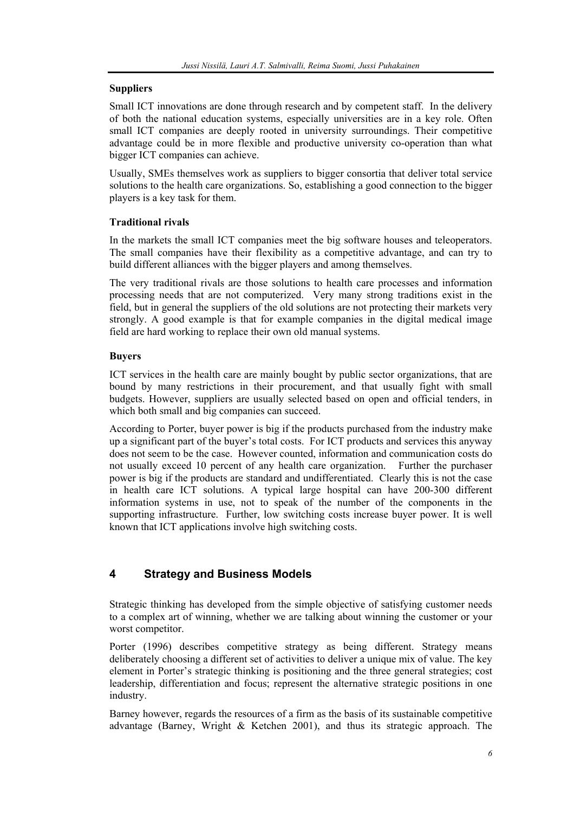#### **Suppliers**

Small ICT innovations are done through research and by competent staff. In the delivery of both the national education systems, especially universities are in a key role. Often small ICT companies are deeply rooted in university surroundings. Their competitive advantage could be in more flexible and productive university co-operation than what bigger ICT companies can achieve.

Usually, SMEs themselves work as suppliers to bigger consortia that deliver total service solutions to the health care organizations. So, establishing a good connection to the bigger players is a key task for them.

## **Traditional rivals**

In the markets the small ICT companies meet the big software houses and teleoperators. The small companies have their flexibility as a competitive advantage, and can try to build different alliances with the bigger players and among themselves.

The very traditional rivals are those solutions to health care processes and information processing needs that are not computerized. Very many strong traditions exist in the field, but in general the suppliers of the old solutions are not protecting their markets very strongly. A good example is that for example companies in the digital medical image field are hard working to replace their own old manual systems.

## **Buyers**

ICT services in the health care are mainly bought by public sector organizations, that are bound by many restrictions in their procurement, and that usually fight with small budgets. However, suppliers are usually selected based on open and official tenders, in which both small and big companies can succeed.

According to Porter, buyer power is big if the products purchased from the industry make up a significant part of the buyer's total costs. For ICT products and services this anyway does not seem to be the case. However counted, information and communication costs do not usually exceed 10 percent of any health care organization. Further the purchaser power is big if the products are standard and undifferentiated. Clearly this is not the case in health care ICT solutions. A typical large hospital can have 200-300 different information systems in use, not to speak of the number of the components in the supporting infrastructure. Further, low switching costs increase buyer power. It is well known that ICT applications involve high switching costs.

# **4 Strategy and Business Models**

Strategic thinking has developed from the simple objective of satisfying customer needs to a complex art of winning, whether we are talking about winning the customer or your worst competitor.

Porter (1996) describes competitive strategy as being different. Strategy means deliberately choosing a different set of activities to deliver a unique mix of value. The key element in Porter's strategic thinking is positioning and the three general strategies; cost leadership, differentiation and focus; represent the alternative strategic positions in one industry.

Barney however, regards the resources of a firm as the basis of its sustainable competitive advantage (Barney, Wright & Ketchen 2001), and thus its strategic approach. The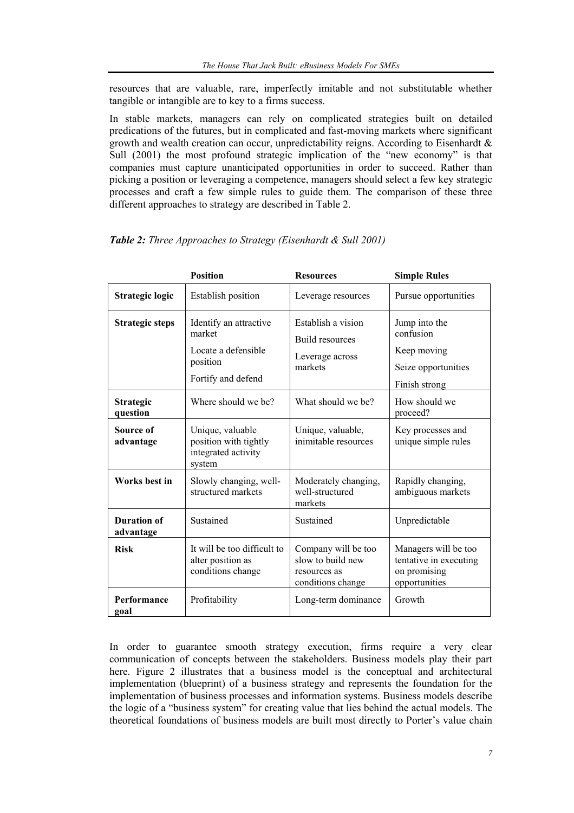resources that are valuable, rare, imperfectly imitable and not substitutable whether tangible or intangible are to key to a firms success.

In stable markets, managers can rely on complicated strategies built on detailed predications of the futures, but in complicated and fast-moving markets where significant growth and wealth creation can occur, unpredictability reigns. According to Eisenhardt  $\&$ Sull (2001) the most profound strategic implication of the "new economy" is that companies must capture unanticipated opportunities in order to succeed. Rather than picking a position or leveraging a competence, managers should select a few key strategic processes and craft a few simple rules to guide them. The comparison of these three different approaches to strategy are described in Table 2.

|                                 | <b>Position</b>                                                                           | <b>Resources</b>                                                              | <b>Simple Rules</b>                                                               |
|---------------------------------|-------------------------------------------------------------------------------------------|-------------------------------------------------------------------------------|-----------------------------------------------------------------------------------|
| <b>Strategic logic</b>          | <b>Establish position</b>                                                                 | Leverage resources                                                            | Pursue opportunities                                                              |
| <b>Strategic steps</b>          | Identify an attractive<br>market<br>Locate a defensible<br>position<br>Fortify and defend | Establish a vision<br><b>Build resources</b><br>Leverage across<br>markets    | Jump into the<br>confusion<br>Keep moving<br>Seize opportunities<br>Finish strong |
| <b>Strategic</b><br>question    | Where should we be?                                                                       | What should we be?                                                            | How should we<br>proceed?                                                         |
| Source of<br>advantage          | Unique, valuable<br>position with tightly<br>integrated activity<br>system                | Unique, valuable,<br>inimitable resources                                     | Key processes and<br>unique simple rules                                          |
| Works best in                   | Slowly changing, well-<br>structured markets                                              | Moderately changing,<br>well-structured<br>markets                            | Rapidly changing,<br>ambiguous markets                                            |
| <b>Duration of</b><br>advantage | Sustained                                                                                 | Sustained                                                                     | Unpredictable                                                                     |
| <b>Risk</b>                     | It will be too difficult to<br>alter position as<br>conditions change                     | Company will be too<br>slow to build new<br>resources as<br>conditions change | Managers will be too<br>tentative in executing<br>on promising<br>opportunities   |
| Performance<br>goal             | Profitability                                                                             | Long-term dominance                                                           | Growth                                                                            |

*Table 2: Three Approaches to Strategy (Eisenhardt & Sull 2001)* 

In order to guarantee smooth strategy execution, firms require a very clear communication of concepts between the stakeholders. Business models play their part here. Figure 2 illustrates that a business model is the conceptual and architectural implementation (blueprint) of a business strategy and represents the foundation for the implementation of business processes and information systems. Business models describe the logic of a "business system" for creating value that lies behind the actual models. The theoretical foundations of business models are built most directly to Porter's value chain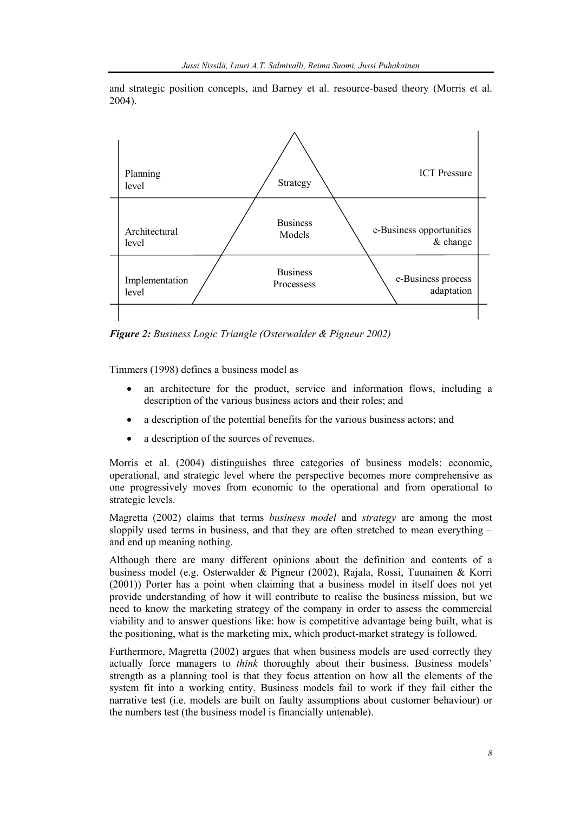and strategic position concepts, and Barney et al. resource-based theory (Morris et al. 2004).



*Figure 2: Business Logic Triangle (Osterwalder & Pigneur 2002)* 

Timmers (1998) defines a business model as

- an architecture for the product, service and information flows, including a description of the various business actors and their roles; and
- a description of the potential benefits for the various business actors; and
- a description of the sources of revenues.

Morris et al. (2004) distinguishes three categories of business models: economic, operational, and strategic level where the perspective becomes more comprehensive as one progressively moves from economic to the operational and from operational to strategic levels.

Magretta (2002) claims that terms *business model* and *strategy* are among the most sloppily used terms in business, and that they are often stretched to mean everything – and end up meaning nothing.

Although there are many different opinions about the definition and contents of a business model (e.g. Osterwalder & Pigneur (2002), Rajala, Rossi, Tuunainen & Korri (2001)) Porter has a point when claiming that a business model in itself does not yet provide understanding of how it will contribute to realise the business mission, but we need to know the marketing strategy of the company in order to assess the commercial viability and to answer questions like: how is competitive advantage being built, what is the positioning, what is the marketing mix, which product-market strategy is followed.

Furthermore, Magretta (2002) argues that when business models are used correctly they actually force managers to *think* thoroughly about their business. Business models' strength as a planning tool is that they focus attention on how all the elements of the system fit into a working entity. Business models fail to work if they fail either the narrative test (i.e. models are built on faulty assumptions about customer behaviour) or the numbers test (the business model is financially untenable).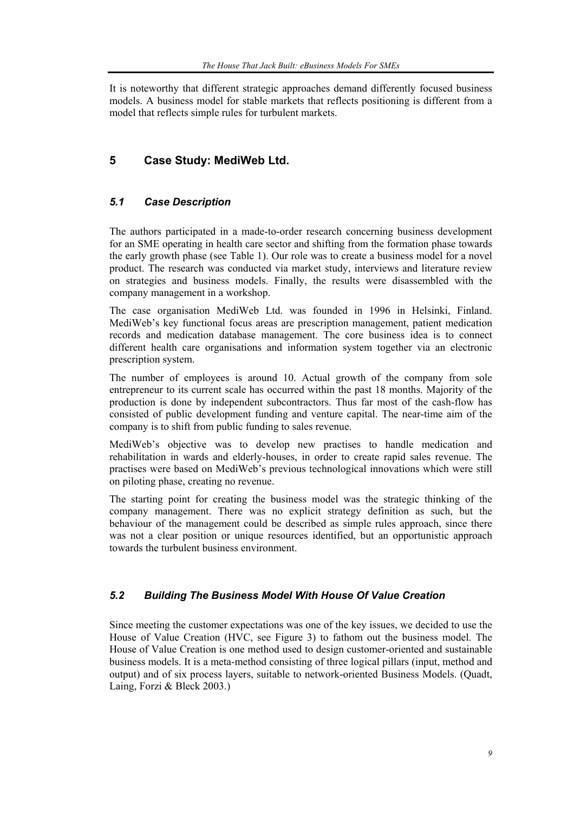It is noteworthy that different strategic approaches demand differently focused business models. A business model for stable markets that reflects positioning is different from a model that reflects simple rules for turbulent markets.

# **5 Case Study: MediWeb Ltd.**

# *5.1 Case Description*

The authors participated in a made-to-order research concerning business development for an SME operating in health care sector and shifting from the formation phase towards the early growth phase (see Table 1). Our role was to create a business model for a novel product. The research was conducted via market study, interviews and literature review on strategies and business models. Finally, the results were disassembled with the company management in a workshop.

The case organisation MediWeb Ltd. was founded in 1996 in Helsinki, Finland. MediWeb's key functional focus areas are prescription management, patient medication records and medication database management. The core business idea is to connect different health care organisations and information system together via an electronic prescription system.

The number of employees is around 10. Actual growth of the company from sole entrepreneur to its current scale has occurred within the past 18 months. Majority of the production is done by independent subcontractors. Thus far most of the cash-flow has consisted of public development funding and venture capital. The near-time aim of the company is to shift from public funding to sales revenue.

MediWeb's objective was to develop new practises to handle medication and rehabilitation in wards and elderly-houses, in order to create rapid sales revenue. The practises were based on MediWeb's previous technological innovations which were still on piloting phase, creating no revenue.

The starting point for creating the business model was the strategic thinking of the company management. There was no explicit strategy definition as such, but the behaviour of the management could be described as simple rules approach, since there was not a clear position or unique resources identified, but an opportunistic approach towards the turbulent business environment.

# *5.2 Building The Business Model With House Of Value Creation*

Since meeting the customer expectations was one of the key issues, we decided to use the House of Value Creation (HVC, see Figure 3) to fathom out the business model. The House of Value Creation is one method used to design customer-oriented and sustainable business models. It is a meta-method consisting of three logical pillars (input, method and output) and of six process layers, suitable to network-oriented Business Models. (Quadt, Laing, Forzi & Bleck 2003.)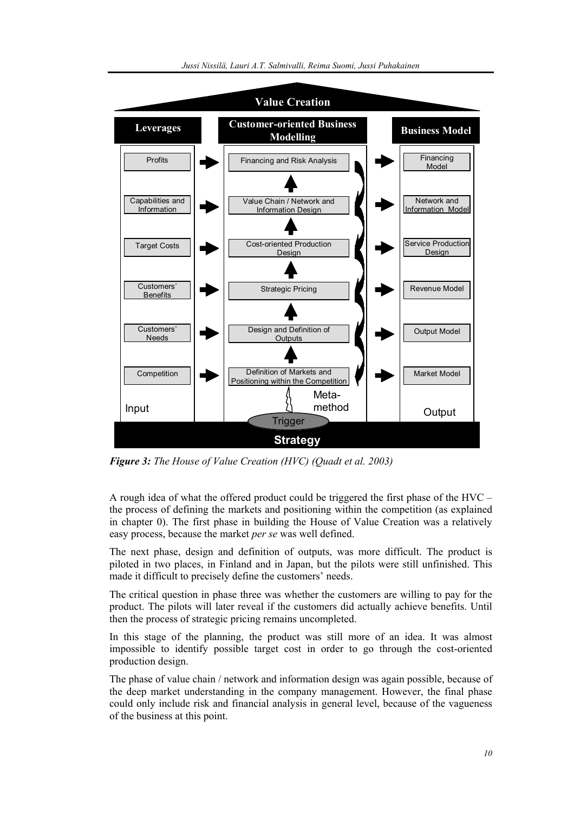

*Figure 3: The House of Value Creation (HVC) (Quadt et al. 2003)* 

A rough idea of what the offered product could be triggered the first phase of the HVC – the process of defining the markets and positioning within the competition (as explained in chapter 0). The first phase in building the House of Value Creation was a relatively easy process, because the market *per se* was well defined.

The next phase, design and definition of outputs, was more difficult. The product is piloted in two places, in Finland and in Japan, but the pilots were still unfinished. This made it difficult to precisely define the customers' needs.

The critical question in phase three was whether the customers are willing to pay for the product. The pilots will later reveal if the customers did actually achieve benefits. Until then the process of strategic pricing remains uncompleted.

In this stage of the planning, the product was still more of an idea. It was almost impossible to identify possible target cost in order to go through the cost-oriented production design.

The phase of value chain / network and information design was again possible, because of the deep market understanding in the company management. However, the final phase could only include risk and financial analysis in general level, because of the vagueness of the business at this point.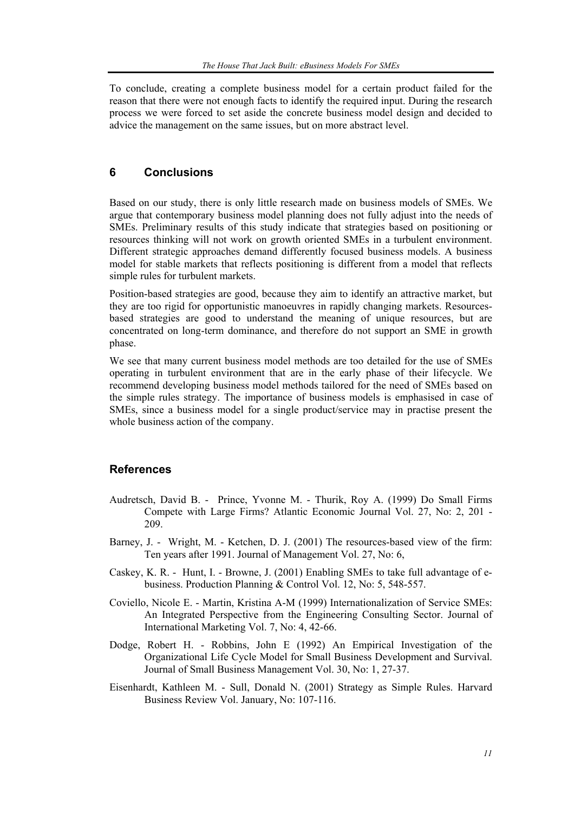To conclude, creating a complete business model for a certain product failed for the reason that there were not enough facts to identify the required input. During the research process we were forced to set aside the concrete business model design and decided to advice the management on the same issues, but on more abstract level.

## **6 Conclusions**

Based on our study, there is only little research made on business models of SMEs. We argue that contemporary business model planning does not fully adjust into the needs of SMEs. Preliminary results of this study indicate that strategies based on positioning or resources thinking will not work on growth oriented SMEs in a turbulent environment. Different strategic approaches demand differently focused business models. A business model for stable markets that reflects positioning is different from a model that reflects simple rules for turbulent markets.

Position-based strategies are good, because they aim to identify an attractive market, but they are too rigid for opportunistic manoeuvres in rapidly changing markets. Resourcesbased strategies are good to understand the meaning of unique resources, but are concentrated on long-term dominance, and therefore do not support an SME in growth phase.

We see that many current business model methods are too detailed for the use of SMEs operating in turbulent environment that are in the early phase of their lifecycle. We recommend developing business model methods tailored for the need of SMEs based on the simple rules strategy. The importance of business models is emphasised in case of SMEs, since a business model for a single product/service may in practise present the whole business action of the company.

## **References**

- Audretsch, David B. Prince, Yvonne M. Thurik, Roy A. (1999) Do Small Firms Compete with Large Firms? Atlantic Economic Journal Vol. 27, No: 2, 201 - 209.
- Barney, J. Wright, M. Ketchen, D. J. (2001) The resources-based view of the firm: Ten years after 1991. Journal of Management Vol. 27, No: 6,
- Caskey, K. R. Hunt, I. Browne, J. (2001) Enabling SMEs to take full advantage of ebusiness. Production Planning & Control Vol. 12, No: 5, 548-557.
- Coviello, Nicole E. Martin, Kristina A-M (1999) Internationalization of Service SMEs: An Integrated Perspective from the Engineering Consulting Sector. Journal of International Marketing Vol. 7, No: 4, 42-66.
- Dodge, Robert H. Robbins, John E (1992) An Empirical Investigation of the Organizational Life Cycle Model for Small Business Development and Survival. Journal of Small Business Management Vol. 30, No: 1, 27-37.
- Eisenhardt, Kathleen M. Sull, Donald N. (2001) Strategy as Simple Rules. Harvard Business Review Vol. January, No: 107-116.